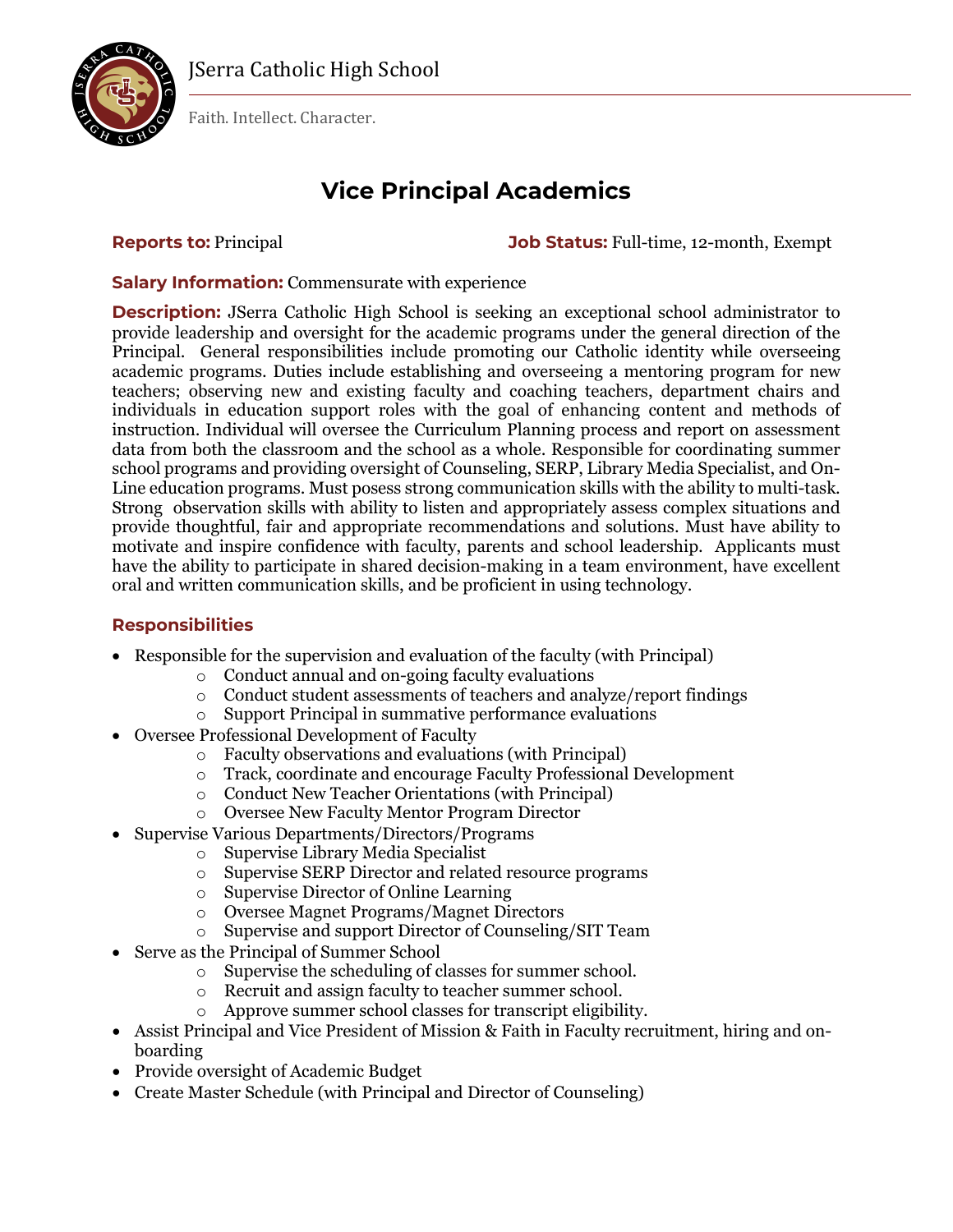

Faith. Intellect. Character.

# **Vice Principal Academics**

**Reports to:** Principal **Job Status:** Full-time, 12-month, Exempt

**Salary Information:** Commensurate with experience

**Description:** JSerra Catholic High School is seeking an exceptional school administrator to provide leadership and oversight for the academic programs under the general direction of the Principal. General responsibilities include promoting our Catholic identity while overseeing academic programs. Duties include establishing and overseeing a mentoring program for new teachers; observing new and existing faculty and coaching teachers, department chairs and individuals in education support roles with the goal of enhancing content and methods of instruction. Individual will oversee the Curriculum Planning process and report on assessment data from both the classroom and the school as a whole. Responsible for coordinating summer school programs and providing oversight of Counseling, SERP, Library Media Specialist, and On-Line education programs. Must posess strong communication skills with the ability to multi-task. Strong observation skills with ability to listen and appropriately assess complex situations and provide thoughtful, fair and appropriate recommendations and solutions. Must have ability to motivate and inspire confidence with faculty, parents and school leadership. Applicants must have the ability to participate in shared decision-making in a team environment, have excellent oral and written communication skills, and be proficient in using technology.

### **Responsibilities**

- Responsible for the supervision and evaluation of the faculty (with Principal)
	- $\circ$  Conduct annual and on-going faculty evaluations  $\circ$  Conduct student assessments of teachers and ana
	- Conduct student assessments of teachers and analyze/report findings
	- o Support Principal in summative performance evaluations
- Oversee Professional Development of Faculty
	- o Faculty observations and evaluations (with Principal)
	- o Track, coordinate and encourage Faculty Professional Development
	- o Conduct New Teacher Orientations (with Principal)
	- o Oversee New Faculty Mentor Program Director
- Supervise Various Departments/Directors/Programs
	- o Supervise Library Media Specialist
	- o Supervise SERP Director and related resource programs
	- o Supervise Director of Online Learning
	- o Oversee Magnet Programs/Magnet Directors
	- o Supervise and support Director of Counseling/SIT Team
- Serve as the Principal of Summer School
	- o Supervise the scheduling of classes for summer school.
	- o Recruit and assign faculty to teacher summer school.
	- o Approve summer school classes for transcript eligibility.
- Assist Principal and Vice President of Mission & Faith in Faculty recruitment, hiring and onboarding
- Provide oversight of Academic Budget
- Create Master Schedule (with Principal and Director of Counseling)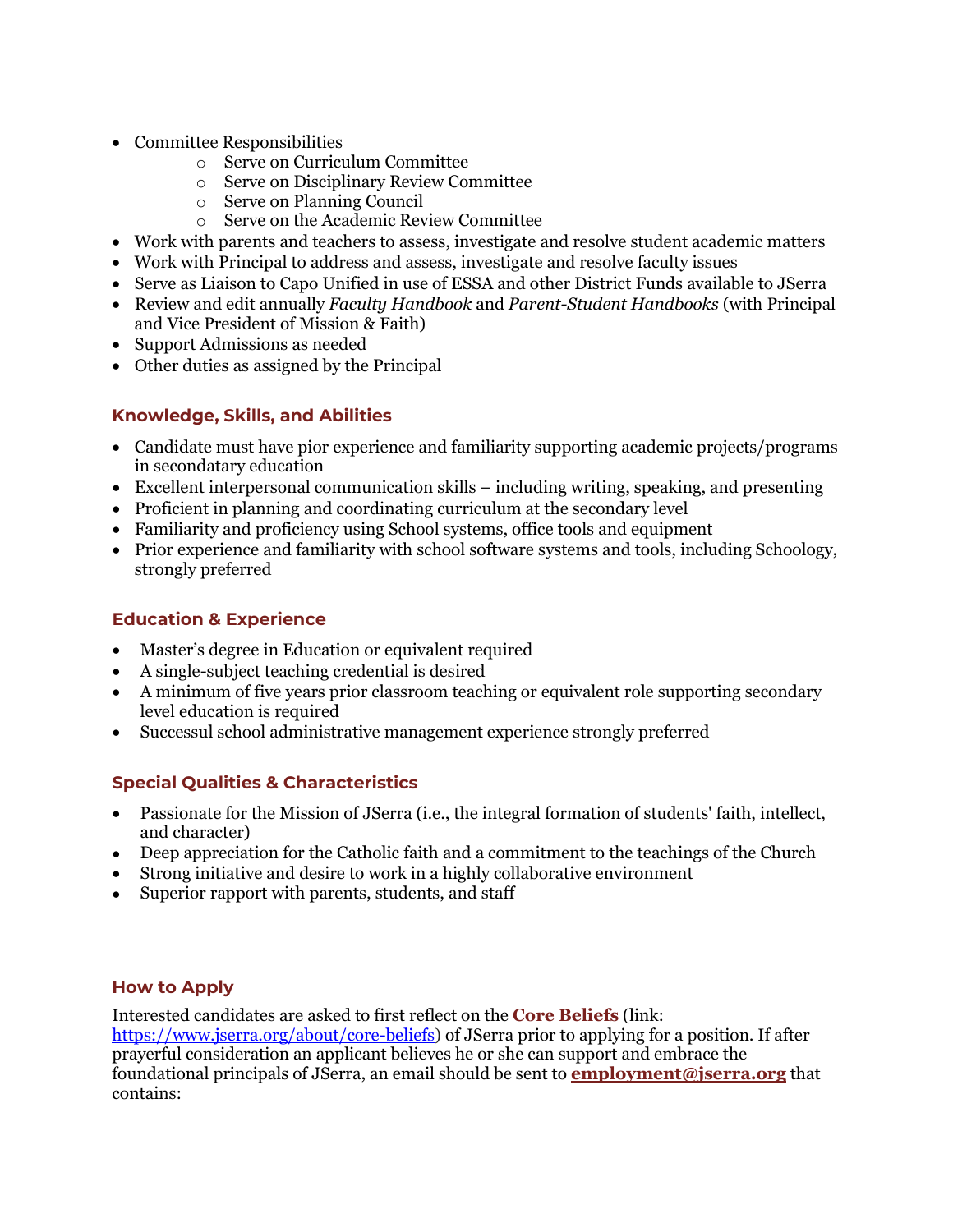- Committee Responsibilities
	- o Serve on Curriculum Committee
	- o Serve on Disciplinary Review Committee
	- o Serve on Planning Council
	- o Serve on the Academic Review Committee
- Work with parents and teachers to assess, investigate and resolve student academic matters
- Work with Principal to address and assess, investigate and resolve faculty issues
- Serve as Liaison to Capo Unified in use of ESSA and other District Funds available to JSerra
- Review and edit annually *Faculty Handbook* and *Parent-Student Handbooks* (with Principal and Vice President of Mission & Faith)
- Support Admissions as needed
- Other duties as assigned by the Principal

#### **Knowledge, Skills, and Abilities**

- Candidate must have pior experience and familiarity supporting academic projects/programs in secondatary education
- Excellent interpersonal communication skills including writing, speaking, and presenting
- Proficient in planning and coordinating curriculum at the secondary level
- Familiarity and proficiency using School systems, office tools and equipment
- Prior experience and familiarity with school software systems and tools, including Schoology, strongly preferred

#### **Education & Experience**

- Master's degree in Education or equivalent required
- A single-subject teaching credential is desired
- A minimum of five years prior classroom teaching or equivalent role supporting secondary level education is required
- Successul school administrative management experience strongly preferred

## **Special Qualities & Characteristics**

- Passionate for the Mission of JSerra (i.e., the integral formation of students' faith, intellect, and character)
- Deep appreciation for the Catholic faith and a commitment to the teachings of the Church
- Strong initiative and desire to work in a highly collaborative environment
- Superior rapport with parents, students, and staff

#### **How to Apply**

Interested candidates are asked to first reflect on the **[Core Beliefs](https://www.jserra.org/fs/pages/1800)** (link: [https://www.jserra.org/about/core-beliefs\)](https://www.jserra.org/about/core-beliefs) of JSerra prior to applying for a position. If after prayerful consideration an applicant believes he or she can support and embrace the foundational principals of JSerra, an email should be sent to **[employment@jserra.org](mailto:employment@jserra.org)** that contains: